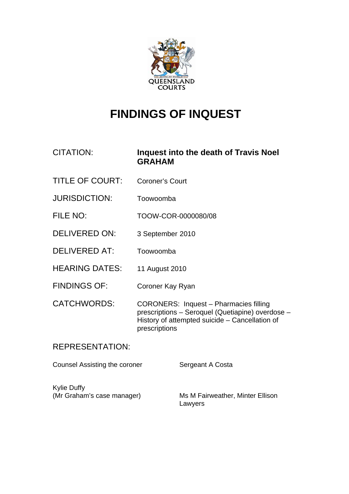

# **FINDINGS OF INQUEST**

CITATION: **Inquest into the death of Travis Noel GRAHAM** 

- TITLE OF COURT: Coroner's Court
- JURISDICTION: Toowoomba
- FILE NO: TOOW-COR-0000080/08
- DELIVERED ON: 3 September 2010
- DELIVERED AT: Toowoomba
- HEARING DATES: 11 August 2010
- FINDINGS OF: Coroner Kay Ryan
- CATCHWORDS: CORONERS: Inquest Pharmacies filling prescriptions – Seroquel (Quetiapine) overdose – History of attempted suicide – Cancellation of prescriptions

# REPRESENTATION:

Counsel Assisting the coroner Sergeant A Costa

Kylie Duffy

(Mr Graham's case manager) Ms M Fairweather, Minter Ellison Lawyers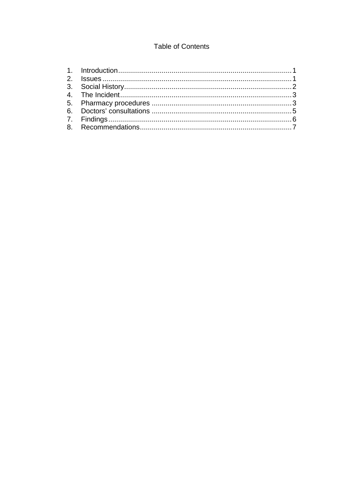# **Table of Contents**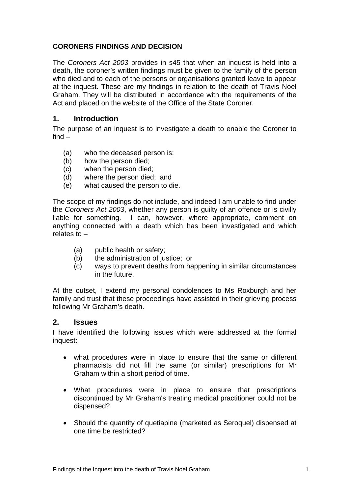### <span id="page-2-0"></span>**CORONERS FINDINGS AND DECISION**

The *Coroners Act 2003* provides in s45 that when an inquest is held into a death, the coroner's written findings must be given to the family of the person who died and to each of the persons or organisations granted leave to appear at the inquest. These are my findings in relation to the death of Travis Noel Graham. They will be distributed in accordance with the requirements of the Act and placed on the website of the Office of the State Coroner.

### **1. Introduction**

The purpose of an inquest is to investigate a death to enable the Coroner to find –

- (a) who the deceased person is;
- (b) how the person died;
- (c) when the person died;
- (d) where the person died; and
- (e) what caused the person to die.

The scope of my findings do not include, and indeed I am unable to find under the *Coroners Act 2003*, whether any person is guilty of an offence or is civilly liable for something. I can, however, where appropriate, comment on anything connected with a death which has been investigated and which relates to –

- (a) public health or safety;
- (b) the administration of justice; or
- (c) ways to prevent deaths from happening in similar circumstances in the future.

At the outset, I extend my personal condolences to Ms Roxburgh and her family and trust that these proceedings have assisted in their grieving process following Mr Graham's death.

#### **2. Issues**

I have identified the following issues which were addressed at the formal inquest:

- what procedures were in place to ensure that the same or different pharmacists did not fill the same (or similar) prescriptions for Mr Graham within a short period of time.
- What procedures were in place to ensure that prescriptions discontinued by Mr Graham's treating medical practitioner could not be dispensed?
- Should the quantity of quetiapine (marketed as Seroquel) dispensed at one time be restricted?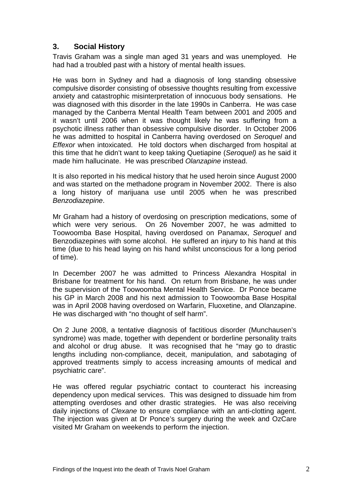## <span id="page-3-0"></span>**3. Social History**

Travis Graham was a single man aged 31 years and was unemployed. He had had a troubled past with a history of mental health issues.

He was born in Sydney and had a diagnosis of long standing obsessive compulsive disorder consisting of obsessive thoughts resulting from excessive anxiety and catastrophic misinterpretation of innocuous body sensations. He was diagnosed with this disorder in the late 1990s in Canberra. He was case managed by the Canberra Mental Health Team between 2001 and 2005 and it wasn't until 2006 when it was thought likely he was suffering from a psychotic illness rather than obsessive compulsive disorder. In October 2006 he was admitted to hospital in Canberra having overdosed on *Seroquel* and *Effexor* when intoxicated. He told doctors when discharged from hospital at this time that he didn't want to keep taking Quetiapine (*Seroquel)* as he said it made him hallucinate. He was prescribed *Olanzapine* instead.

It is also reported in his medical history that he used heroin since August 2000 and was started on the methadone program in November 2002. There is also a long history of marijuana use until 2005 when he was prescribed *Benzodiazepine*.

Mr Graham had a history of overdosing on prescription medications, some of which were very serious. On 26 November 2007, he was admitted to Toowoomba Base Hospital, having overdosed on Panamax, *Seroquel* and Benzodiazepines with some alcohol. He suffered an injury to his hand at this time (due to his head laying on his hand whilst unconscious for a long period of time).

In December 2007 he was admitted to Princess Alexandra Hospital in Brisbane for treatment for his hand. On return from Brisbane, he was under the supervision of the Toowoomba Mental Health Service. Dr Ponce became his GP in March 2008 and his next admission to Toowoomba Base Hospital was in April 2008 having overdosed on Warfarin, [Fluoxetine](http://vsearch.nlm.nih.gov/vivisimo/cgi-bin/query-meta?v%3aproject=medlineplus&v%3asources=medlineplus-bundle&query=fluoxetine&), and Olanzapine. He was discharged with "no thought of self harm".

On 2 June 2008, a tentative diagnosis of factitious disorder (Munchausen's syndrome) was made, together with dependent or borderline personality traits and alcohol or drug abuse. It was recognised that he "may go to drastic lengths including non-compliance, deceit, manipulation, and sabotaging of approved treatments simply to access increasing amounts of medical and psychiatric care".

He was offered regular psychiatric contact to counteract his increasing dependency upon medical services. This was designed to dissuade him from attempting overdoses and other drastic strategies. He was also receiving daily injections of *Clexane* to ensure compliance with an anti-clotting agent. The injection was given at Dr Ponce's surgery during the week and OzCare visited Mr Graham on weekends to perform the injection.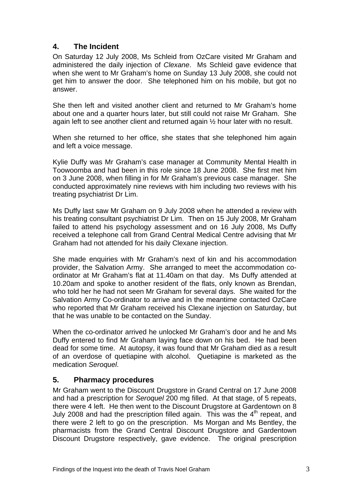# <span id="page-4-0"></span>**4. The Incident**

On Saturday 12 July 2008, Ms Schleid from OzCare visited Mr Graham and administered the daily injection of *Clexane*. Ms Schleid gave evidence that when she went to Mr Graham's home on Sunday 13 July 2008, she could not get him to answer the door. She telephoned him on his mobile, but got no answer.

She then left and visited another client and returned to Mr Graham's home about one and a quarter hours later, but still could not raise Mr Graham. She again left to see another client and returned again ½ hour later with no result.

When she returned to her office, she states that she telephoned him again and left a voice message.

Kylie Duffy was Mr Graham's case manager at Community Mental Health in Toowoomba and had been in this role since 18 June 2008. She first met him on 3 June 2008, when filling in for Mr Graham's previous case manager. She conducted approximately nine reviews with him including two reviews with his treating psychiatrist Dr Lim.

Ms Duffy last saw Mr Graham on 9 July 2008 when he attended a review with his treating consultant psychiatrist Dr Lim. Then on 15 July 2008, Mr Graham failed to attend his psychology assessment and on 16 July 2008, Ms Duffy received a telephone call from Grand Central Medical Centre advising that Mr Graham had not attended for his daily Clexane injection.

She made enquiries with Mr Graham's next of kin and his accommodation provider, the Salvation Army. She arranged to meet the accommodation coordinator at Mr Graham's flat at 11.40am on that day. Ms Duffy attended at 10.20am and spoke to another resident of the flats, only known as Brendan, who told her he had not seen Mr Graham for several days. She waited for the Salvation Army Co-ordinator to arrive and in the meantime contacted OzCare who reported that Mr Graham received his Clexane injection on Saturday, but that he was unable to be contacted on the Sunday.

When the co-ordinator arrived he unlocked Mr Graham's door and he and Ms Duffy entered to find Mr Graham laying face down on his bed. He had been dead for some time. At autopsy, it was found that Mr Graham died as a result of an overdose of quetiapine with alcohol. Quetiapine is marketed as the medication *Seroquel*.

# **5. Pharmacy procedures**

Mr Graham went to the Discount Drugstore in Grand Central on 17 June 2008 and had a prescription for *Seroquel* 200 mg filled. At that stage, of 5 repeats, there were 4 left. He then went to the Discount Drugstore at Gardentown on 8 July 2008 and had the prescription filled again. This was the  $4<sup>th</sup>$  repeat, and there were 2 left to go on the prescription. Ms Morgan and Ms Bentley, the pharmacists from the Grand Central Discount Drugstore and Gardentown Discount Drugstore respectively, gave evidence. The original prescription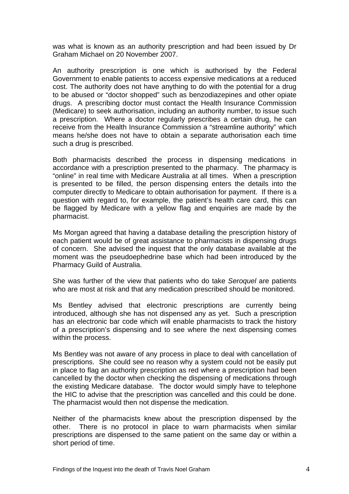was what is known as an authority prescription and had been issued by Dr Graham Michael on 20 November 2007.

An authority prescription is one which is authorised by the Federal Government to enable patients to access expensive medications at a reduced cost. The authority does not have anything to do with the potential for a drug to be abused or "doctor shopped" such as benzodiazepines and other opiate drugs. A prescribing doctor must contact the Health Insurance Commission (Medicare) to seek authorisation, including an authority number, to issue such a prescription. Where a doctor regularly prescribes a certain drug, he can receive from the Health Insurance Commission a "streamline authority" which means he/she does not have to obtain a separate authorisation each time such a drug is prescribed.

Both pharmacists described the process in dispensing medications in accordance with a prescription presented to the pharmacy. The pharmacy is "online" in real time with Medicare Australia at all times. When a prescription is presented to be filled, the person dispensing enters the details into the computer directly to Medicare to obtain authorisation for payment. If there is a question with regard to, for example, the patient's health care card, this can be flagged by Medicare with a yellow flag and enquiries are made by the pharmacist.

Ms Morgan agreed that having a database detailing the prescription history of each patient would be of great assistance to pharmacists in dispensing drugs of concern. She advised the inquest that the only database available at the moment was the pseudoephedrine base which had been introduced by the Pharmacy Guild of Australia.

She was further of the view that patients who do take *Seroquel* are patients who are most at risk and that any medication prescribed should be monitored.

Ms Bentley advised that electronic prescriptions are currently being introduced, although she has not dispensed any as yet. Such a prescription has an electronic bar code which will enable pharmacists to track the history of a prescription's dispensing and to see where the next dispensing comes within the process.

Ms Bentley was not aware of any process in place to deal with cancellation of prescriptions. She could see no reason why a system could not be easily put in place to flag an authority prescription as red where a prescription had been cancelled by the doctor when checking the dispensing of medications through the existing Medicare database. The doctor would simply have to telephone the HIC to advise that the prescription was cancelled and this could be done. The pharmacist would then not dispense the medication.

Neither of the pharmacists knew about the prescription dispensed by the other. There is no protocol in place to warn pharmacists when similar prescriptions are dispensed to the same patient on the same day or within a short period of time.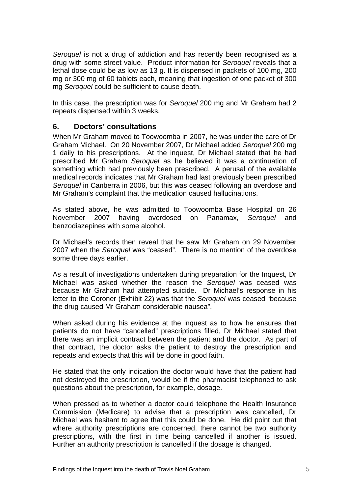<span id="page-6-0"></span>*Seroquel* is not a drug of addiction and has recently been recognised as a drug with some street value. Product information for *Seroquel* reveals that a lethal dose could be as low as 13 g. It is dispensed in packets of 100 mg, 200 mg or 300 mg of 60 tablets each, meaning that ingestion of one packet of 300 mg *Seroquel* could be sufficient to cause death.

In this case, the prescription was for *Seroquel* 200 mg and Mr Graham had 2 repeats dispensed within 3 weeks.

#### **6. Doctors' consultations**

When Mr Graham moved to Toowoomba in 2007, he was under the care of Dr Graham Michael. On 20 November 2007, Dr Michael added *Seroquel* 200 mg 1 daily to his prescriptions. At the inquest, Dr Michael stated that he had prescribed Mr Graham *Seroquel* as he believed it was a continuation of something which had previously been prescribed. A perusal of the available medical records indicates that Mr Graham had last previously been prescribed *Seroquel* in Canberra in 2006, but this was ceased following an overdose and Mr Graham's complaint that the medication caused hallucinations.

As stated above, he was admitted to Toowoomba Base Hospital on 26 November 2007 having overdosed on Panamax, *Seroquel* and benzodiazepines with some alcohol.

Dr Michael's records then reveal that he saw Mr Graham on 29 November 2007 when the *Seroquel* was "ceased". There is no mention of the overdose some three days earlier.

As a result of investigations undertaken during preparation for the Inquest, Dr Michael was asked whether the reason the *Seroquel* was ceased was because Mr Graham had attempted suicide. Dr Michael's response in his letter to the Coroner (Exhibit 22) was that the *Seroquel* was ceased "because the drug caused Mr Graham considerable nausea".

When asked during his evidence at the inquest as to how he ensures that patients do not have "cancelled" prescriptions filled, Dr Michael stated that there was an implicit contract between the patient and the doctor. As part of that contract, the doctor asks the patient to destroy the prescription and repeats and expects that this will be done in good faith.

He stated that the only indication the doctor would have that the patient had not destroyed the prescription, would be if the pharmacist telephoned to ask questions about the prescription, for example, dosage.

When pressed as to whether a doctor could telephone the Health Insurance Commission (Medicare) to advise that a prescription was cancelled, Dr Michael was hesitant to agree that this could be done. He did point out that where authority prescriptions are concerned, there cannot be two authority prescriptions, with the first in time being cancelled if another is issued. Further an authority prescription is cancelled if the dosage is changed.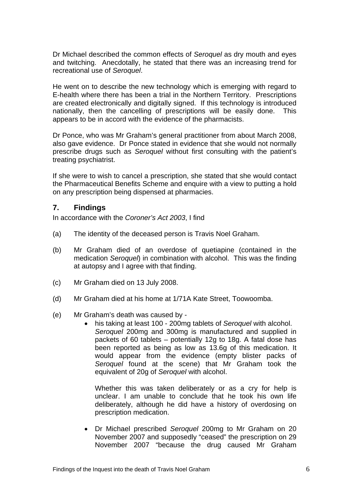<span id="page-7-0"></span>Dr Michael described the common effects of *Seroquel* as dry mouth and eyes and twitching. Anecdotally, he stated that there was an increasing trend for recreational use of *Seroquel*.

He went on to describe the new technology which is emerging with regard to E-health where there has been a trial in the Northern Territory. Prescriptions are created electronically and digitally signed. If this technology is introduced nationally, then the cancelling of prescriptions will be easily done. This appears to be in accord with the evidence of the pharmacists.

Dr Ponce, who was Mr Graham's general practitioner from about March 2008, also gave evidence. Dr Ponce stated in evidence that she would not normally prescribe drugs such as *Seroquel* without first consulting with the patient's treating psychiatrist.

If she were to wish to cancel a prescription, she stated that she would contact the Pharmaceutical Benefits Scheme and enquire with a view to putting a hold on any prescription being dispensed at pharmacies.

#### **7. Findings**

In accordance with the *Coroner's Act 2003*, I find

- (a) The identity of the deceased person is Travis Noel Graham.
- (b) Mr Graham died of an overdose of quetiapine (contained in the medication *Seroquel*) in combination with alcohol. This was the finding at autopsy and I agree with that finding.
- (c) Mr Graham died on 13 July 2008.
- (d) Mr Graham died at his home at 1/71A Kate Street, Toowoomba.
- (e) Mr Graham's death was caused by
	- his taking at least 100 200mg tablets of *Seroquel* with alcohol. *Seroquel* 200mg and 300mg is manufactured and supplied in packets of 60 tablets – potentially 12g to 18g. A fatal dose has been reported as being as low as 13.6g of this medication. It would appear from the evidence (empty blister packs of *Seroquel* found at the scene) that Mr Graham took the equivalent of 20g of *Seroquel* with alcohol.

 Whether this was taken deliberately or as a cry for help is unclear. I am unable to conclude that he took his own life deliberately, although he did have a history of overdosing on prescription medication.

• Dr Michael prescribed *Seroquel* 200mg to Mr Graham on 20 November 2007 and supposedly "ceased" the prescription on 29 November 2007 "because the drug caused Mr Graham